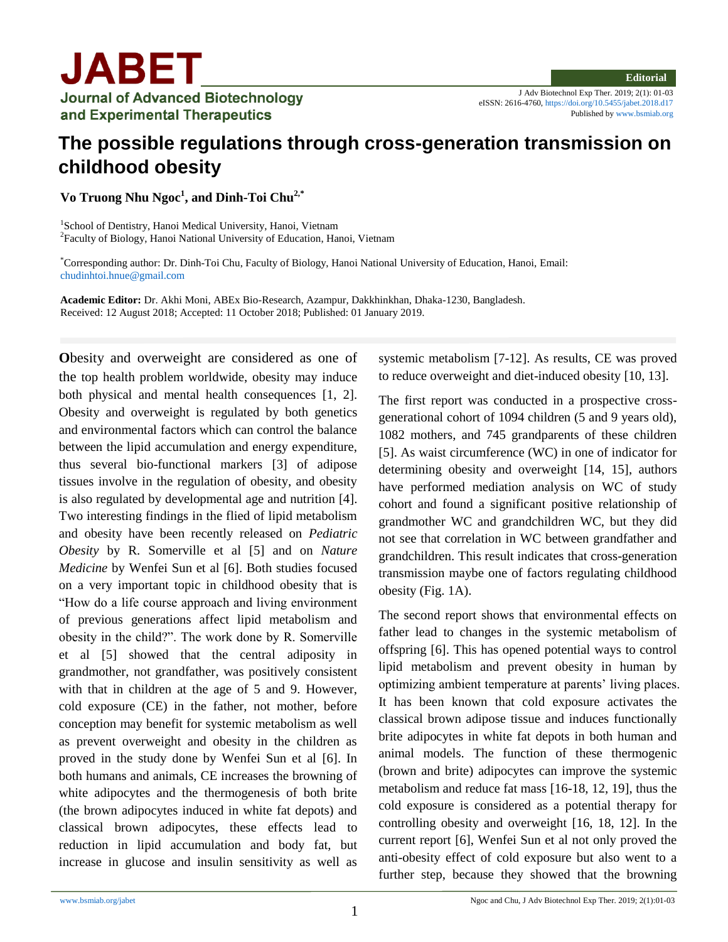J Adv Biotechnol Exp Ther. 2019; 2(1): 01-03 eISSN: 2616-4760,<https://doi.org/10.5455/jabet.2018.d17> Published b[y www.bsmiab.org](http://www.bsmiab.org/)

## **The possible regulations through cross-generation transmission on childhood obesity**

**Vo Truong Nhu Ngoc<sup>1</sup> , and Dinh-Toi Chu2,\***

<sup>1</sup>School of Dentistry, Hanoi Medical University, Hanoi, Vietnam <sup>2</sup> Faculty of Biology, Hanoi National University of Education, Hanoi, Vietnam

\*Corresponding author: Dr. Dinh-Toi Chu, Faculty of Biology, Hanoi National University of Education, Hanoi, Email: [chudinhtoi.hnue@gmail.com](mailto:chudinhtoi.hnue@gmail.com)

**Academic Editor:** Dr. Akhi Moni, ABEx Bio-Research, Azampur, Dakkhinkhan, Dhaka-1230, Bangladesh. Received: 12 August 2018; Accepted: 11 October 2018; Published: 01 January 2019.

**O**besity and overweight are considered as one of the top health problem worldwide, obesity may induce both physical and mental health consequences [1, 2]. Obesity and overweight is regulated by both genetics and environmental factors which can control the balance between the lipid accumulation and energy expenditure, thus several bio-functional markers [3] of adipose tissues involve in the regulation of obesity, and obesity is also regulated by developmental age and nutrition [4]. Two interesting findings in the flied of lipid metabolism and obesity have been recently released on *Pediatric Obesity* by R. Somerville et al [5] and on *Nature Medicine* by Wenfei Sun et al [6]. Both studies focused on a very important topic in childhood obesity that is "How do a life course approach and living environment of previous generations affect lipid metabolism and obesity in the child?". The work done by R. Somerville et al [5] showed that the central adiposity in grandmother, not grandfather, was positively consistent with that in children at the age of 5 and 9. However, cold exposure (CE) in the father, not mother, before conception may benefit for systemic metabolism as well as prevent overweight and obesity in the children as proved in the study done by Wenfei Sun et al [6]. In both humans and animals, CE increases the browning of white adipocytes and the thermogenesis of both brite (the brown adipocytes induced in white fat depots) and classical brown adipocytes, these effects lead to reduction in lipid accumulation and body fat, but increase in glucose and insulin sensitivity as well as

systemic metabolism [7-12]. As results, CE was proved to reduce overweight and diet-induced obesity [10, 13].

The first report was conducted in a prospective crossgenerational cohort of 1094 children (5 and 9 years old), 1082 mothers, and 745 grandparents of these children [5]. As waist circumference (WC) in one of indicator for determining obesity and overweight [14, 15], authors have performed mediation analysis on WC of study cohort and found a significant positive relationship of grandmother WC and grandchildren WC, but they did not see that correlation in WC between grandfather and grandchildren. This result indicates that cross-generation transmission maybe one of factors regulating childhood obesity (Fig. 1A).

The second report shows that environmental effects on father lead to changes in the systemic metabolism of offspring [6]. This has opened potential ways to control lipid metabolism and prevent obesity in human by optimizing ambient temperature at parents' living places. It has been known that cold exposure activates the classical brown adipose tissue and induces functionally brite adipocytes in white fat depots in both human and animal models. The function of these thermogenic (brown and brite) adipocytes can improve the systemic metabolism and reduce fat mass [16-18, 12, 19], thus the cold exposure is considered as a potential therapy for controlling obesity and overweight [16, 18, 12]. In the current report [6], Wenfei Sun et al not only proved the anti-obesity effect of cold exposure but also went to a further step, because they showed that the browning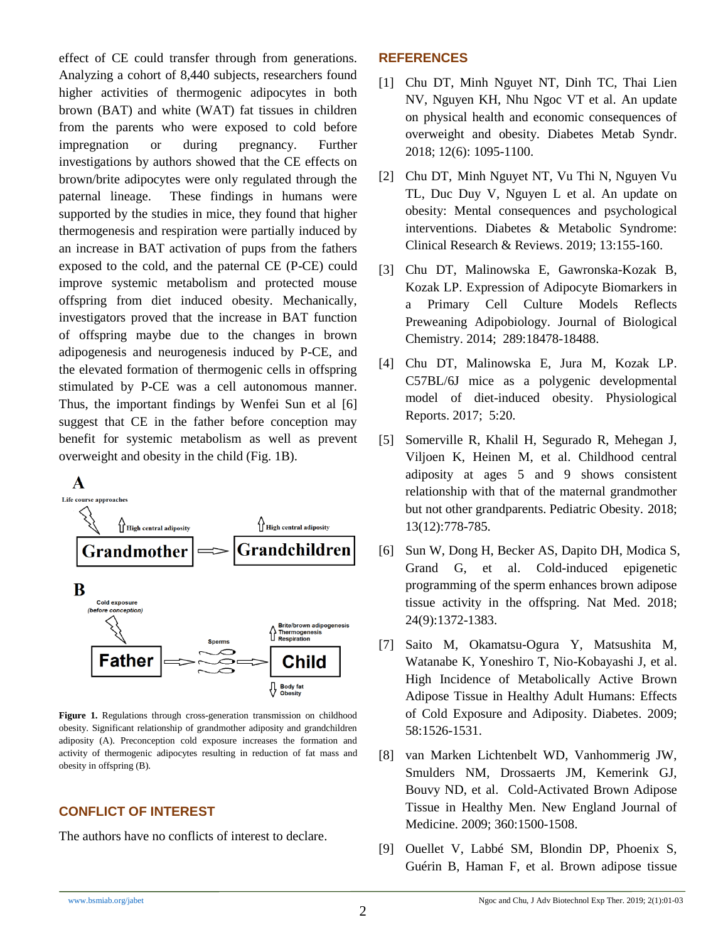effect of CE could transfer through from generations. Analyzing a cohort of 8,440 subjects, researchers found higher activities of thermogenic adipocytes in both brown (BAT) and white (WAT) fat tissues in children from the parents who were exposed to cold before impregnation or during pregnancy. Further investigations by authors showed that the CE effects on brown/brite adipocytes were only regulated through the paternal lineage. These findings in humans were supported by the studies in mice, they found that higher thermogenesis and respiration were partially induced by an increase in BAT activation of pups from the fathers exposed to the cold, and the paternal CE (P-CE) could improve systemic metabolism and protected mouse offspring from diet induced obesity. Mechanically, investigators proved that the increase in BAT function of offspring maybe due to the changes in brown adipogenesis and neurogenesis induced by P-CE, and the elevated formation of thermogenic cells in offspring stimulated by P-CE was a cell autonomous manner. Thus, the important findings by Wenfei Sun et al [6] suggest that CE in the father before conception may benefit for systemic metabolism as well as prevent overweight and obesity in the child (Fig. 1B).



**Figure 1.** Regulations through cross-generation transmission on childhood obesity. Significant relationship of grandmother adiposity and grandchildren adiposity (A). Preconception cold exposure increases the formation and activity of thermogenic adipocytes resulting in reduction of fat mass and obesity in offspring (B).

## **CONFLICT OF INTEREST**

The authors have no conflicts of interest to declare.

## **REFERENCES**

- [1] Chu DT, Minh Nguyet NT, Dinh TC, Thai Lien NV, Nguyen KH, Nhu Ngoc VT et al. An update on physical health and economic consequences of overweight and obesity. Diabetes Metab Syndr. 2018; 12(6): 1095-1100.
- [2] Chu DT, Minh Nguyet NT, Vu Thi N, Nguyen Vu TL, Duc Duy V, Nguyen L et al. An update on obesity: Mental consequences and psychological interventions. Diabetes & Metabolic Syndrome: Clinical Research & Reviews. 2019; 13:155-160.
- [3] Chu DT, Malinowska E, Gawronska-Kozak B, Kozak LP. Expression of Adipocyte Biomarkers in Primary Cell Culture Models Reflects Preweaning Adipobiology. Journal of Biological Chemistry. 2014; 289:18478-18488.
- [4] Chu DT, Malinowska E, Jura M, Kozak LP. C57BL/6J mice as a polygenic developmental model of diet-induced obesity. Physiological Reports. 2017; 5:20.
- [5] Somerville R, Khalil H, Segurado R, Mehegan J, Viljoen K, Heinen M, et al. Childhood central adiposity at ages 5 and 9 shows consistent relationship with that of the maternal grandmother but not other grandparents. Pediatric Obesity. 2018; 13(12):778-785.
- [6] Sun W, Dong H, Becker AS, Dapito DH, Modica S, Grand G, et al. Cold-induced epigenetic programming of the sperm enhances brown adipose tissue activity in the offspring. Nat Med. 2018; 24(9):1372-1383.
- [7] Saito M, Okamatsu-Ogura Y, Matsushita M, Watanabe K, Yoneshiro T, Nio-Kobayashi J, et al. High Incidence of Metabolically Active Brown Adipose Tissue in Healthy Adult Humans: Effects of Cold Exposure and Adiposity. Diabetes. 2009; 58:1526-1531.
- [8] van Marken Lichtenbelt WD, Vanhommerig JW, Smulders NM, Drossaerts JM, Kemerink GJ, Bouvy ND, et al. Cold-Activated Brown Adipose Tissue in Healthy Men. New England Journal of Medicine. 2009; 360:1500-1508.
- [9] Ouellet V, Labbé SM, Blondin DP, Phoenix S, Guérin B, Haman F, et al. Brown adipose tissue